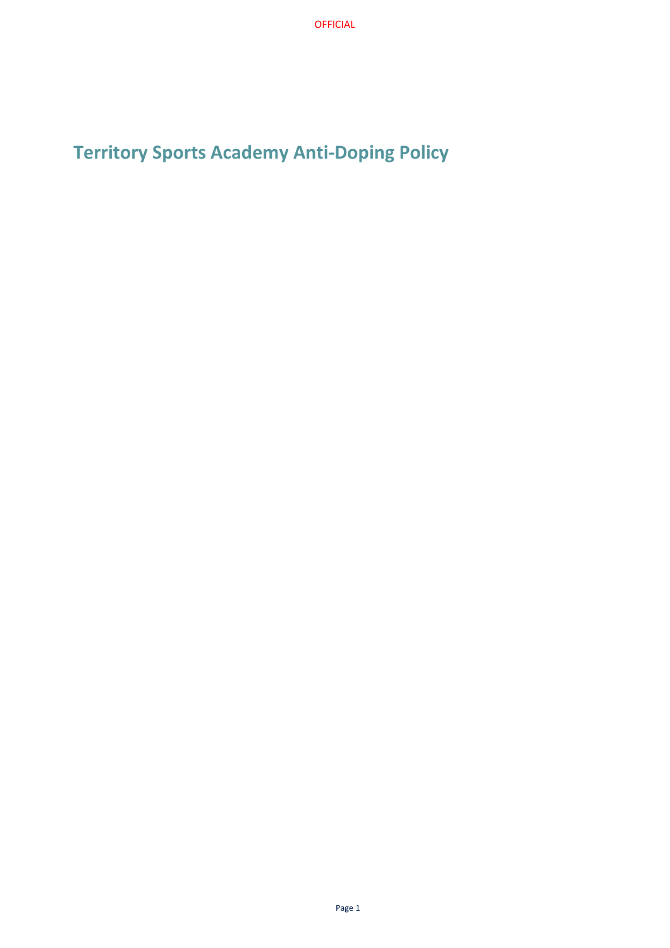**Territory Sports Academy Anti-Doping Policy**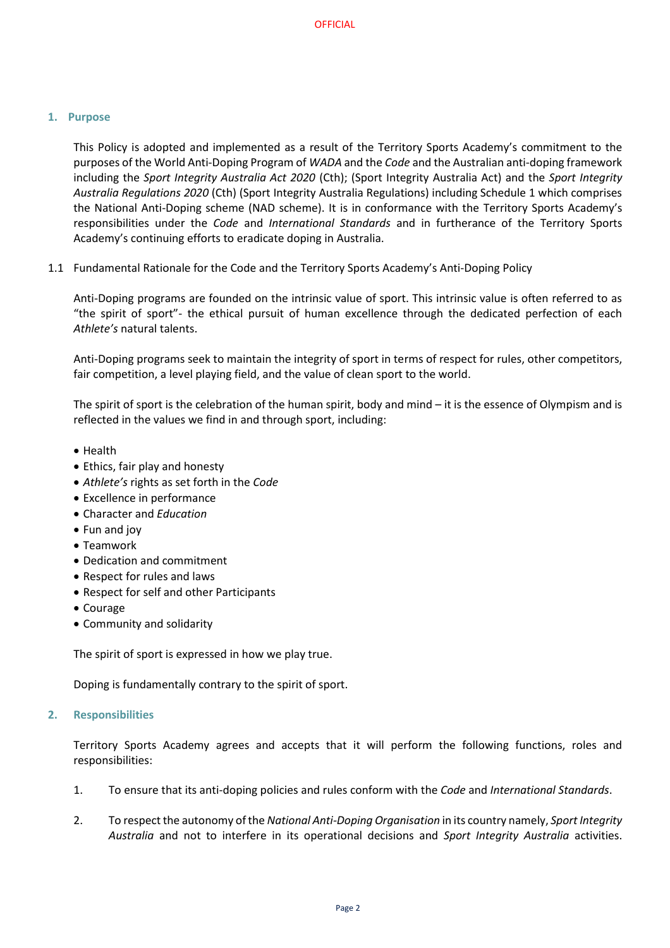## **1. Purpose**

This Policy is adopted and implemented as a result of the Territory Sports Academy's commitment to the purposes of the World Anti-Doping Program of *WADA* and the *Code* and the Australian anti-doping framework including the *Sport Integrity Australia Act 2020* (Cth); (Sport Integrity Australia Act) and the *Sport Integrity Australia Regulations 2020* (Cth) (Sport Integrity Australia Regulations) including Schedule 1 which comprises the National Anti-Doping scheme (NAD scheme). It is in conformance with the Territory Sports Academy's responsibilities under the *Code* and *International Standards* and in furtherance of the Territory Sports Academy's continuing efforts to eradicate doping in Australia.

1.1 Fundamental Rationale for the Code and the Territory Sports Academy's Anti-Doping Policy

Anti-Doping programs are founded on the intrinsic value of sport. This intrinsic value is often referred to as "the spirit of sport"- the ethical pursuit of human excellence through the dedicated perfection of each *Athlete's* natural talents.

Anti-Doping programs seek to maintain the integrity of sport in terms of respect for rules, other competitors, fair competition, a level playing field, and the value of clean sport to the world.

The spirit of sport is the celebration of the human spirit, body and mind – it is the essence of Olympism and is reflected in the values we find in and through sport, including:

- Health
- Ethics, fair play and honesty
- *Athlete's* rights as set forth in the *Code*
- Excellence in performance
- Character and *Education*
- Fun and joy
- Teamwork
- Dedication and commitment
- Respect for rules and laws
- Respect for self and other Participants
- Courage
- Community and solidarity

The spirit of sport is expressed in how we play true.

Doping is fundamentally contrary to the spirit of sport.

## **2. Responsibilities**

Territory Sports Academy agrees and accepts that it will perform the following functions, roles and responsibilities:

- 1. To ensure that its anti-doping policies and rules conform with the *Code* and *International Standards*.
- 2. To respect the autonomy of the *National Anti-Doping Organisation* in its country namely, *Sport Integrity Australia* and not to interfere in its operational decisions and *Sport Integrity Australia* activities.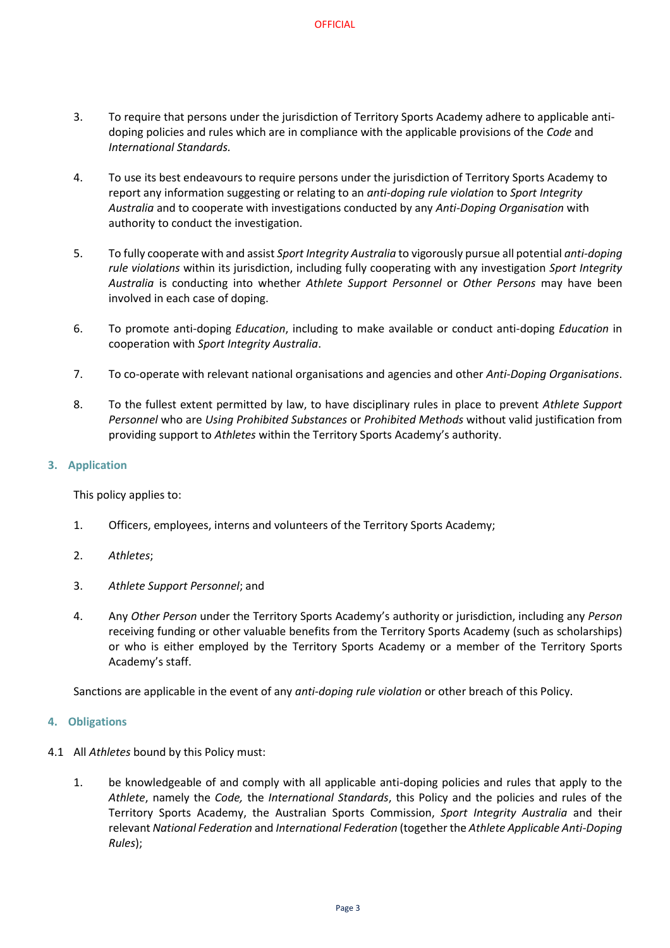- 3. To require that persons under the jurisdiction of Territory Sports Academy adhere to applicable antidoping policies and rules which are in compliance with the applicable provisions of the *Code* and *International Standards.*
- 4. To use its best endeavours to require persons under the jurisdiction of Territory Sports Academy to report any information suggesting or relating to an *anti-doping rule violation* to *Sport Integrity Australia* and to cooperate with investigations conducted by any *Anti-Doping Organisation* with authority to conduct the investigation.
- 5. To fully cooperate with and assist *Sport Integrity Australia* to vigorously pursue all potential *anti-doping rule violations* within its jurisdiction, including fully cooperating with any investigation *Sport Integrity Australia* is conducting into whether *Athlete Support Personnel* or *Other Persons* may have been involved in each case of doping.
- 6. To promote anti-doping *Education*, including to make available or conduct anti-doping *Education* in cooperation with *Sport Integrity Australia*.
- 7. To co-operate with relevant national organisations and agencies and other *Anti-Doping Organisations*.
- 8. To the fullest extent permitted by law, to have disciplinary rules in place to prevent *Athlete Support Personnel* who are *Using Prohibited Substances* or *Prohibited Methods* without valid justification from providing support to *Athletes* within the Territory Sports Academy's authority.

# **3. Application**

This policy applies to:

- 1. Officers, employees, interns and volunteers of the Territory Sports Academy;
- 2. *Athletes*;
- 3. *Athlete Support Personnel*; and
- 4. Any *Other Person* under the Territory Sports Academy's authority or jurisdiction, including any *Person* receiving funding or other valuable benefits from the Territory Sports Academy (such as scholarships) or who is either employed by the Territory Sports Academy or a member of the Territory Sports Academy's staff.

Sanctions are applicable in the event of any *anti-doping rule violation* or other breach of this Policy.

## **4. Obligations**

- 4.1 All *Athletes* bound by this Policy must:
	- 1. be knowledgeable of and comply with all applicable anti-doping policies and rules that apply to the *Athlete*, namely the *Code,* the *International Standards*, this Policy and the policies and rules of the Territory Sports Academy, the Australian Sports Commission, *Sport Integrity Australia* and their relevant *National Federation* and *International Federation* (together the *Athlete Applicable Anti-Doping Rules*);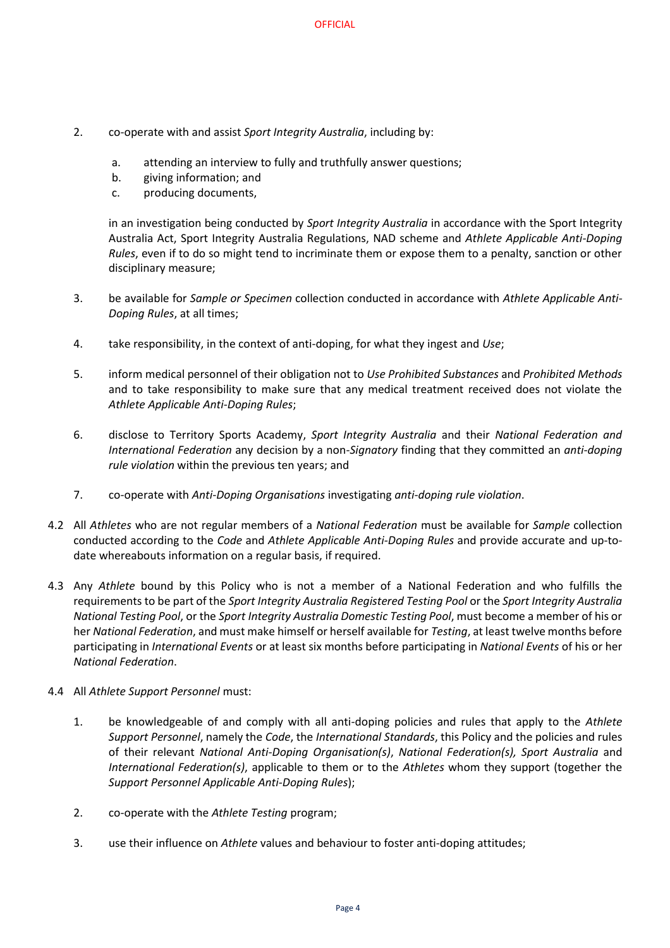- 2. co-operate with and assist *Sport Integrity Australia*, including by:
	- a. attending an interview to fully and truthfully answer questions;
	- b. giving information; and
	- c. producing documents,

in an investigation being conducted by *Sport Integrity Australia* in accordance with the Sport Integrity Australia Act, Sport Integrity Australia Regulations, NAD scheme and *Athlete Applicable Anti-Doping Rules*, even if to do so might tend to incriminate them or expose them to a penalty, sanction or other disciplinary measure;

- 3. be available for *Sample or Specimen* collection conducted in accordance with *Athlete Applicable Anti-Doping Rules*, at all times;
- 4. take responsibility, in the context of anti-doping, for what they ingest and *Use*;
- 5. inform medical personnel of their obligation not to *Use Prohibited Substances* and *Prohibited Methods*  and to take responsibility to make sure that any medical treatment received does not violate the *Athlete Applicable Anti-Doping Rules*;
- 6. disclose to Territory Sports Academy, *Sport Integrity Australia* and their *National Federation and International Federation* any decision by a non-*Signatory* finding that they committed an *anti-doping rule violation* within the previous ten years; and
- 7. co-operate with *Anti-Doping Organisations* investigating *anti-doping rule violation*.
- 4.2 All *Athletes* who are not regular members of a *National Federation* must be available for *Sample* collection conducted according to the *Code* and *Athlete Applicable Anti-Doping Rules* and provide accurate and up-todate whereabouts information on a regular basis, if required.
- 4.3 Any *Athlete* bound by this Policy who is not a member of a National Federation and who fulfills the requirements to be part of the *Sport Integrity Australia Registered Testing Pool* or the *Sport Integrity Australia National Testing Pool*, or the *Sport Integrity Australia Domestic Testing Pool*, must become a member of his or her *National Federation*, and must make himself or herself available for *Testing*, at least twelve months before participating in *International Events* or at least six months before participating in *National Events* of his or her *National Federation*.
- 4.4 All *Athlete Support Personnel* must:
	- 1. be knowledgeable of and comply with all anti-doping policies and rules that apply to the *Athlete Support Personnel*, namely the *Code*, the *International Standards*, this Policy and the policies and rules of their relevant *National Anti-Doping Organisation(s)*, *National Federation(s), Sport Australia* and *International Federation(s)*, applicable to them or to the *Athletes* whom they support (together the *Support Personnel Applicable Anti-Doping Rules*);
	- 2. co-operate with the *Athlete Testing* program;
	- 3. use their influence on *Athlete* values and behaviour to foster anti-doping attitudes;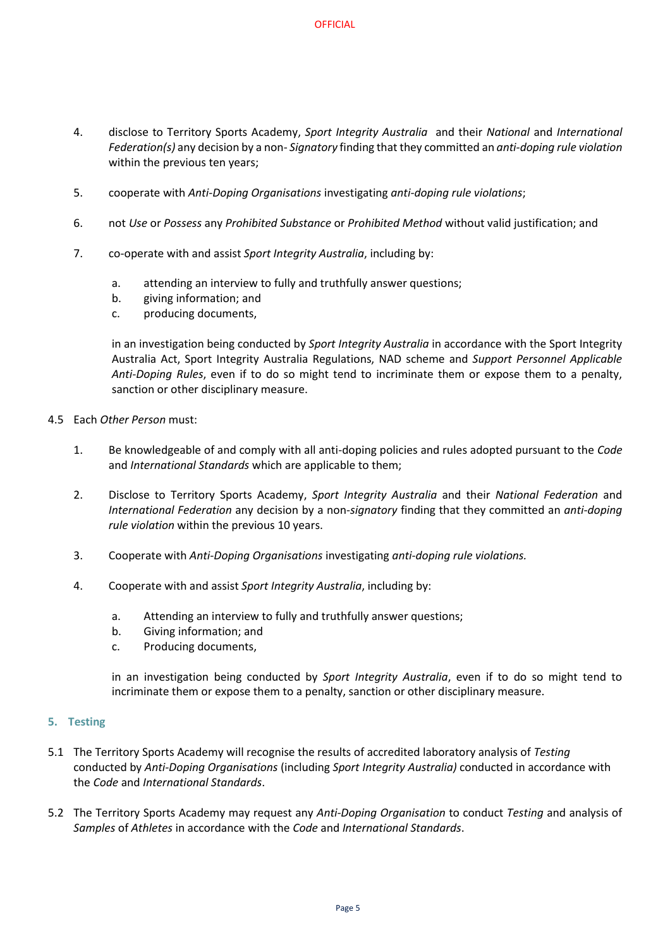- 4. disclose to Territory Sports Academy, *Sport Integrity Australia* and their *National* and *International Federation(s)* any decision by a non- *Signatory* finding that they committed an *anti-doping rule violation*  within the previous ten years;
- 5. cooperate with *Anti-Doping Organisations* investigating *anti-doping rule violations*;
- 6. not *Use* or *Possess* any *Prohibited Substance* or *Prohibited Method* without valid justification; and
- 7. co-operate with and assist *Sport Integrity Australia*, including by:
	- a. attending an interview to fully and truthfully answer questions;
	- b. giving information; and
	- c. producing documents,

in an investigation being conducted by *Sport Integrity Australia* in accordance with the Sport Integrity Australia Act, Sport Integrity Australia Regulations, NAD scheme and *Support Personnel Applicable Anti-Doping Rules*, even if to do so might tend to incriminate them or expose them to a penalty, sanction or other disciplinary measure.

- 4.5 Each *Other Person* must:
	- 1. Be knowledgeable of and comply with all anti-doping policies and rules adopted pursuant to the *Code* and *International Standards* which are applicable to them;
	- 2. Disclose to Territory Sports Academy, *Sport Integrity Australia* and their *National Federation* and *International Federation* any decision by a non-*signatory* finding that they committed an *anti-doping rule violation* within the previous 10 years.
	- 3. Cooperate with *Anti-Doping Organisations* investigating *anti-doping rule violations.*
	- 4. Cooperate with and assist *Sport Integrity Australia*, including by:
		- a. Attending an interview to fully and truthfully answer questions;
		- b. Giving information; and
		- c. Producing documents,

in an investigation being conducted by *Sport Integrity Australia*, even if to do so might tend to incriminate them or expose them to a penalty, sanction or other disciplinary measure.

## **5. Testing**

- 5.1 The Territory Sports Academy will recognise the results of accredited laboratory analysis of *Testing*  conducted by *Anti-Doping Organisations* (including *Sport Integrity Australia)* conducted in accordance with the *Code* and *International Standards*.
- 5.2 The Territory Sports Academy may request any *Anti-Doping Organisation* to conduct *Testing* and analysis of *Samples* of *Athletes* in accordance with the *Code* and *International Standards*.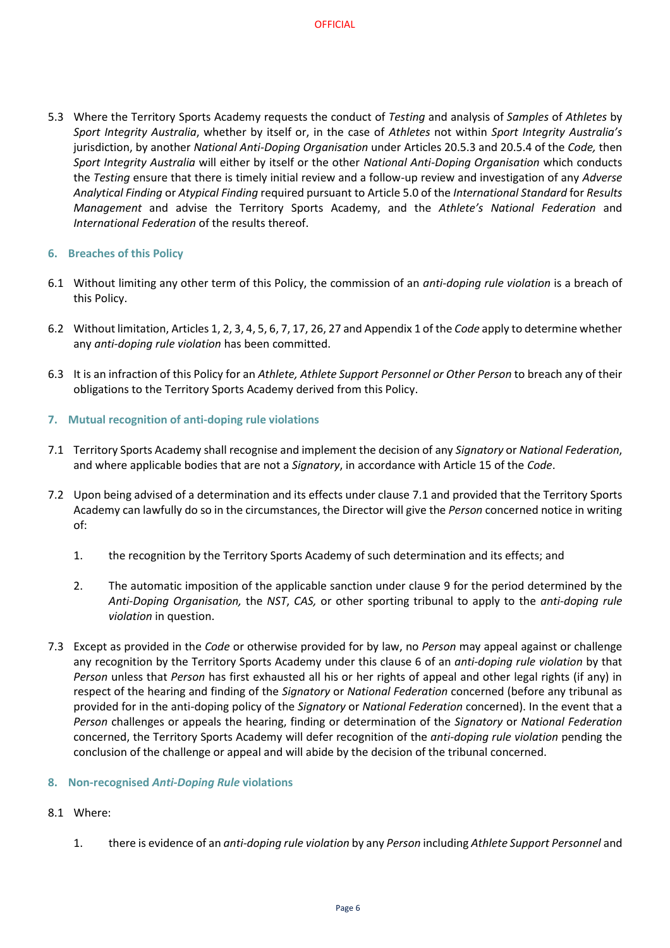5.3 Where the Territory Sports Academy requests the conduct of *Testing* and analysis of *Samples* of *Athletes* by *Sport Integrity Australia*, whether by itself or, in the case of *Athletes* not within *Sport Integrity Australia's* jurisdiction, by another *National Anti-Doping Organisation* under Articles 20.5.3 and 20.5.4 of the *Code,* then *Sport Integrity Australia* will either by itself or the other *National Anti-Doping Organisation* which conducts the *Testing* ensure that there is timely initial review and a follow-up review and investigation of any *Adverse Analytical Finding* or *Atypical Finding* required pursuant to Article 5.0 of the *International Standard* for *Results Management* and advise the Territory Sports Academy, and the *Athlete's National Federation* and *International Federation* of the results thereof.

# **6. Breaches of this Policy**

- 6.1 Without limiting any other term of this Policy, the commission of an *anti-doping rule violation* is a breach of this Policy.
- 6.2 Without limitation, Articles 1, 2, 3, 4, 5, 6, 7, 17, 26, 27 and Appendix 1 of the *Code* apply to determine whether any *anti-doping rule violation* has been committed.
- 6.3 It is an infraction of this Policy for an *Athlete, Athlete Support Personnel or Other Person* to breach any of their obligations to the Territory Sports Academy derived from this Policy.

# **7. Mutual recognition of anti-doping rule violations**

- 7.1 Territory Sports Academy shall recognise and implement the decision of any *Signatory* or *National Federation*, and where applicable bodies that are not a *Signatory*, in accordance with Article 15 of the *Code*.
- 7.2 Upon being advised of a determination and its effects under clause 7.1 and provided that the Territory Sports Academy can lawfully do so in the circumstances, the Director will give the *Person* concerned notice in writing of:
	- 1. the recognition by the Territory Sports Academy of such determination and its effects; and
	- 2. The automatic imposition of the applicable sanction under clause 9 for the period determined by the *Anti-Doping Organisation,* the *NST*, *CAS,* or other sporting tribunal to apply to the *anti-doping rule violation* in question.
- 7.3 Except as provided in the *Code* or otherwise provided for by law, no *Person* may appeal against or challenge any recognition by the Territory Sports Academy under this clause 6 of an *anti-doping rule violation* by that *Person* unless that *Person* has first exhausted all his or her rights of appeal and other legal rights (if any) in respect of the hearing and finding of the *Signatory* or *National Federation* concerned (before any tribunal as provided for in the anti-doping policy of the *Signatory* or *National Federation* concerned). In the event that a *Person* challenges or appeals the hearing, finding or determination of the *Signatory* or *National Federation*  concerned, the Territory Sports Academy will defer recognition of the *anti-doping rule violation* pending the conclusion of the challenge or appeal and will abide by the decision of the tribunal concerned.

## **8. Non-recognised** *Anti-Doping Rule* **violations**

- 8.1 Where:
	- 1. there is evidence of an *anti-doping rule violation* by any *Person* including *Athlete Support Personnel* and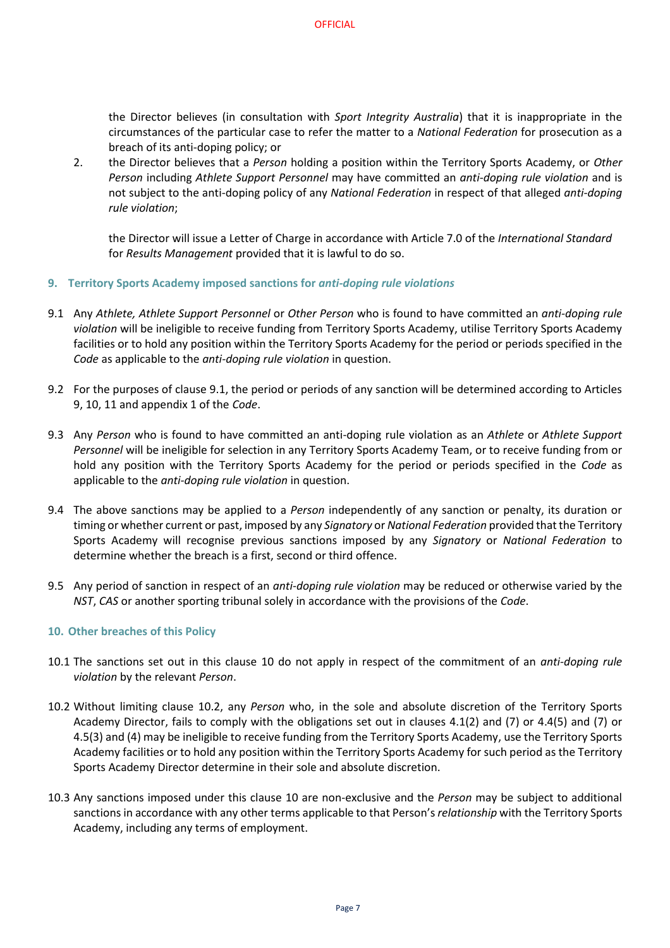the Director believes (in consultation with *Sport Integrity Australia*) that it is inappropriate in the circumstances of the particular case to refer the matter to a *National Federation* for prosecution as a breach of its anti-doping policy; or

2. the Director believes that a *Person* holding a position within the Territory Sports Academy, or *Other Person* including *Athlete Support Personnel* may have committed an *anti-doping rule violation* and is not subject to the anti-doping policy of any *National Federation* in respect of that alleged *anti-doping rule violation*;

the Director will issue a Letter of Charge in accordance with Article 7.0 of the *International Standard* for *Results Management* provided that it is lawful to do so.

- **9. Territory Sports Academy imposed sanctions for** *anti-doping rule violations*
- 9.1 Any *Athlete, Athlete Support Personnel* or *Other Person* who is found to have committed an *anti-doping rule violation* will be ineligible to receive funding from Territory Sports Academy, utilise Territory Sports Academy facilities or to hold any position within the Territory Sports Academy for the period or periods specified in the *Code* as applicable to the *anti-doping rule violation* in question.
- 9.2 For the purposes of clause 9.1, the period or periods of any sanction will be determined according to Articles 9, 10, 11 and appendix 1 of the *Code*.
- 9.3 Any *Person* who is found to have committed an anti-doping rule violation as an *Athlete* or *Athlete Support Personnel* will be ineligible for selection in any Territory Sports Academy Team, or to receive funding from or hold any position with the Territory Sports Academy for the period or periods specified in the *Code* as applicable to the *anti-doping rule violation* in question.
- 9.4 The above sanctions may be applied to a *Person* independently of any sanction or penalty, its duration or timing or whether current or past, imposed by any *Signatory* or *National Federation* provided that the Territory Sports Academy will recognise previous sanctions imposed by any *Signatory* or *National Federation* to determine whether the breach is a first, second or third offence.
- 9.5 Any period of sanction in respect of an *anti-doping rule violation* may be reduced or otherwise varied by the *NST*, *CAS* or another sporting tribunal solely in accordance with the provisions of the *Code*.

## **10. Other breaches of this Policy**

- 10.1 The sanctions set out in this clause 10 do not apply in respect of the commitment of an *anti-doping rule violation* by the relevant *Person*.
- 10.2 Without limiting clause 10.2, any *Person* who, in the sole and absolute discretion of the Territory Sports Academy Director, fails to comply with the obligations set out in clauses 4.1(2) and (7) or 4.4(5) and (7) or 4.5(3) and (4) may be ineligible to receive funding from the Territory Sports Academy, use the Territory Sports Academy facilities or to hold any position within the Territory Sports Academy for such period as the Territory Sports Academy Director determine in their sole and absolute discretion.
- 10.3 Any sanctions imposed under this clause 10 are non-exclusive and the *Person* may be subject to additional sanctions in accordance with any other terms applicable to that Person's*relationship* with the Territory Sports Academy, including any terms of employment.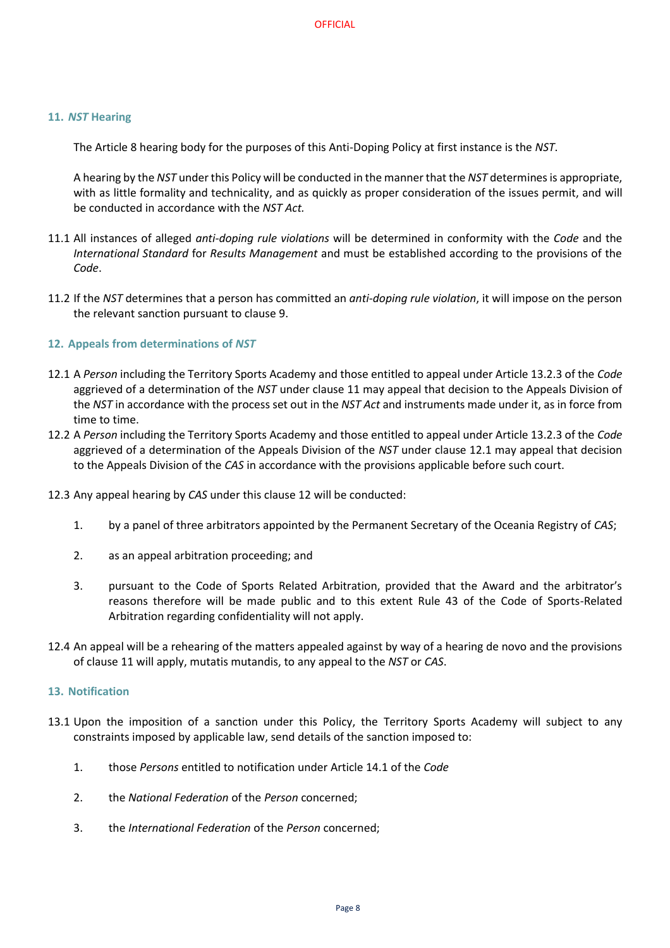## **11.** *NST* **Hearing**

The Article 8 hearing body for the purposes of this Anti-Doping Policy at first instance is the *NST*.

A hearing by the *NST* under this Policy will be conducted in the manner that the *NST* determines is appropriate, with as little formality and technicality, and as quickly as proper consideration of the issues permit, and will be conducted in accordance with the *NST Act.*

- 11.1 All instances of alleged *anti-doping rule violations* will be determined in conformity with the *Code* and the *International Standard* for *Results Management* and must be established according to the provisions of the *Code*.
- 11.2 If the *NST* determines that a person has committed an *anti-doping rule violation*, it will impose on the person the relevant sanction pursuant to clause 9.

## **12. Appeals from determinations of** *NST*

- 12.1 A *Person* including the Territory Sports Academy and those entitled to appeal under Article 13.2.3 of the *Code* aggrieved of a determination of the *NST* under clause 11 may appeal that decision to the Appeals Division of the *NST* in accordance with the process set out in the *NST Act* and instruments made under it, as in force from time to time.
- 12.2 A *Person* including the Territory Sports Academy and those entitled to appeal under Article 13.2.3 of the *Code* aggrieved of a determination of the Appeals Division of the *NST* under clause 12.1 may appeal that decision to the Appeals Division of the *CAS* in accordance with the provisions applicable before such court.
- 12.3 Any appeal hearing by *CAS* under this clause 12 will be conducted:
	- 1. by a panel of three arbitrators appointed by the Permanent Secretary of the Oceania Registry of *CAS*;
	- 2. as an appeal arbitration proceeding; and
	- 3. pursuant to the Code of Sports Related Arbitration, provided that the Award and the arbitrator's reasons therefore will be made public and to this extent Rule 43 of the Code of Sports-Related Arbitration regarding confidentiality will not apply.
- 12.4 An appeal will be a rehearing of the matters appealed against by way of a hearing de novo and the provisions of clause 11 will apply, mutatis mutandis, to any appeal to the *NST* or *CAS*.

## **13. Notification**

- 13.1 Upon the imposition of a sanction under this Policy, the Territory Sports Academy will subject to any constraints imposed by applicable law, send details of the sanction imposed to:
	- 1. those *Persons* entitled to notification under Article 14.1 of the *Code*
	- 2. the *National Federation* of the *Person* concerned;
	- 3. the *International Federation* of the *Person* concerned;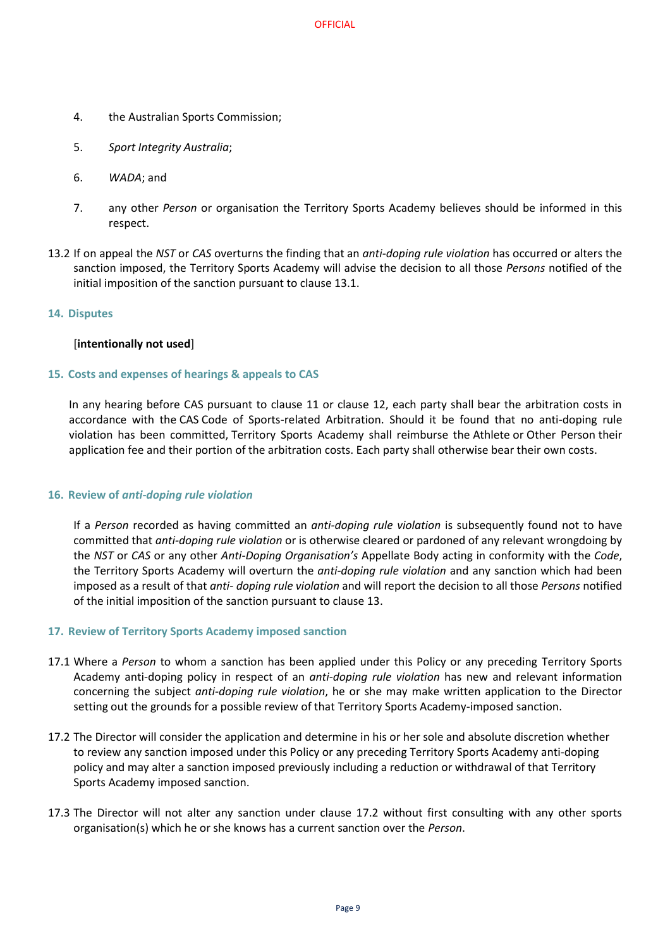- 4. the Australian Sports Commission;
- 5. *Sport Integrity Australia*;
- 6. *WADA*; and
- 7. any other *Person* or organisation the Territory Sports Academy believes should be informed in this respect.
- 13.2 If on appeal the *NST* or *CAS* overturns the finding that an *anti-doping rule violation* has occurred or alters the sanction imposed, the Territory Sports Academy will advise the decision to all those *Persons* notified of the initial imposition of the sanction pursuant to clause 13.1.

#### **14. Disputes**

#### [**intentionally not used**]

#### **15. Costs and expenses of hearings & appeals to CAS**

In any hearing before CAS pursuant to clause 11 or clause 12, each party shall bear the arbitration costs in accordance with the CAS Code of Sports-related Arbitration. Should it be found that no anti-doping rule violation has been committed, Territory Sports Academy shall reimburse the Athlete or Other Person their application fee and their portion of the arbitration costs. Each party shall otherwise bear their own costs.

#### **16. Review of** *anti-doping rule violation*

If a *Person* recorded as having committed an *anti-doping rule violation* is subsequently found not to have committed that *anti-doping rule violation* or is otherwise cleared or pardoned of any relevant wrongdoing by the *NST* or *CAS* or any other *Anti-Doping Organisation's* Appellate Body acting in conformity with the *Code*, the Territory Sports Academy will overturn the *anti-doping rule violation* and any sanction which had been imposed as a result of that *anti- doping rule violation* and will report the decision to all those *Persons* notified of the initial imposition of the sanction pursuant to clause 13.

#### **17. Review of Territory Sports Academy imposed sanction**

- 17.1 Where a *Person* to whom a sanction has been applied under this Policy or any preceding Territory Sports Academy anti-doping policy in respect of an *anti-doping rule violation* has new and relevant information concerning the subject *anti-doping rule violation*, he or she may make written application to the Director setting out the grounds for a possible review of that Territory Sports Academy-imposed sanction.
- 17.2 The Director will consider the application and determine in his or her sole and absolute discretion whether to review any sanction imposed under this Policy or any preceding Territory Sports Academy anti-doping policy and may alter a sanction imposed previously including a reduction or withdrawal of that Territory Sports Academy imposed sanction.
- 17.3 The Director will not alter any sanction under clause 17.2 without first consulting with any other sports organisation(s) which he or she knows has a current sanction over the *Person*.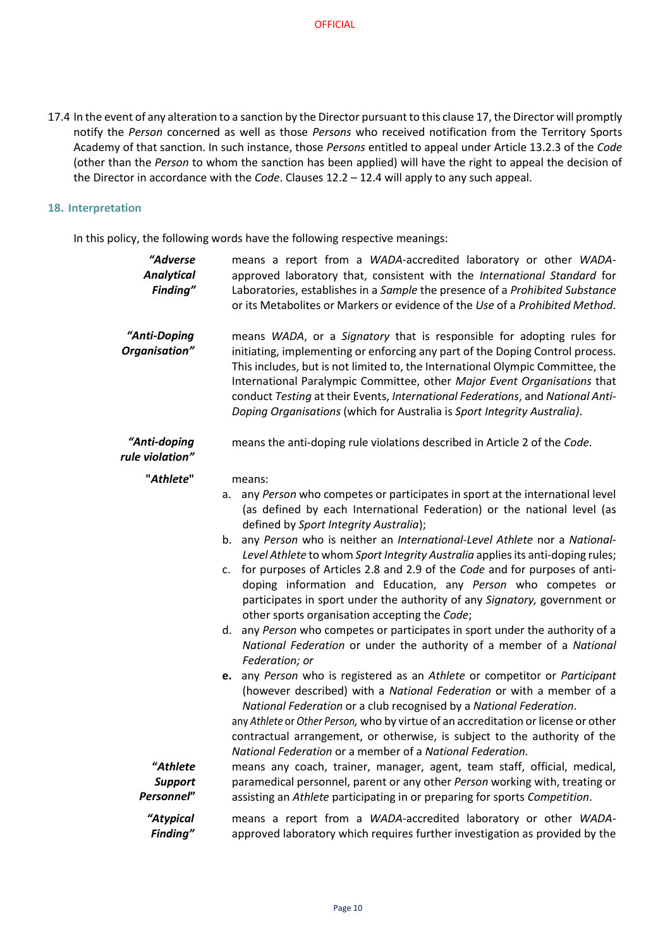17.4 In the event of any alteration to a sanction by the Director pursuant to this clause 17, the Director will promptly notify the *Person* concerned as well as those *Persons* who received notification from the Territory Sports Academy of that sanction. In such instance, those *Persons* entitled to appeal under Article 13.2.3 of the *Code*  (other than the *Person* to whom the sanction has been applied) will have the right to appeal the decision of the Director in accordance with the *Code*. Clauses 12.2 – 12.4 will apply to any such appeal.

#### **18. Interpretation**

In this policy, the following words have the following respective meanings:

| "Adverse<br><b>Analytical</b><br>Finding" | means a report from a WADA-accredited laboratory or other WADA-<br>approved laboratory that, consistent with the International Standard for<br>Laboratories, establishes in a Sample the presence of a Prohibited Substance<br>or its Metabolites or Markers or evidence of the Use of a Prohibited Method.                                                                                                                                                                                                                                                                                                                                                                                                                                                                                                                                                                                                                                                                                                                                                                                                                                                                                                                                                                                                                 |
|-------------------------------------------|-----------------------------------------------------------------------------------------------------------------------------------------------------------------------------------------------------------------------------------------------------------------------------------------------------------------------------------------------------------------------------------------------------------------------------------------------------------------------------------------------------------------------------------------------------------------------------------------------------------------------------------------------------------------------------------------------------------------------------------------------------------------------------------------------------------------------------------------------------------------------------------------------------------------------------------------------------------------------------------------------------------------------------------------------------------------------------------------------------------------------------------------------------------------------------------------------------------------------------------------------------------------------------------------------------------------------------|
| "Anti-Doping<br>Organisation"             | means WADA, or a Signatory that is responsible for adopting rules for<br>initiating, implementing or enforcing any part of the Doping Control process.<br>This includes, but is not limited to, the International Olympic Committee, the<br>International Paralympic Committee, other Major Event Organisations that<br>conduct Testing at their Events, International Federations, and National Anti-<br>Doping Organisations (which for Australia is Sport Integrity Australia).                                                                                                                                                                                                                                                                                                                                                                                                                                                                                                                                                                                                                                                                                                                                                                                                                                          |
| "Anti-doping<br>rule violation"           | means the anti-doping rule violations described in Article 2 of the Code.                                                                                                                                                                                                                                                                                                                                                                                                                                                                                                                                                                                                                                                                                                                                                                                                                                                                                                                                                                                                                                                                                                                                                                                                                                                   |
| "Athlete"                                 | means:<br>any Person who competes or participates in sport at the international level<br>а.<br>(as defined by each International Federation) or the national level (as<br>defined by Sport Integrity Australia);<br>any Person who is neither an International-Level Athlete nor a National-<br>b.<br>Level Athlete to whom Sport Integrity Australia applies its anti-doping rules;<br>for purposes of Articles 2.8 and 2.9 of the Code and for purposes of anti-<br>$\mathsf{c}$ .<br>doping information and Education, any Person who competes or<br>participates in sport under the authority of any Signatory, government or<br>other sports organisation accepting the Code;<br>any Person who competes or participates in sport under the authority of a<br>d.<br>National Federation or under the authority of a member of a National<br>Federation; or<br>e. any Person who is registered as an Athlete or competitor or Participant<br>(however described) with a National Federation or with a member of a<br>National Federation or a club recognised by a National Federation.<br>any Athlete or Other Person, who by virtue of an accreditation or license or other<br>contractual arrangement, or otherwise, is subject to the authority of the<br>National Federation or a member of a National Federation. |
| "Athlete<br><b>Support</b><br>Personnel"  | means any coach, trainer, manager, agent, team staff, official, medical,<br>paramedical personnel, parent or any other Person working with, treating or<br>assisting an Athlete participating in or preparing for sports Competition.                                                                                                                                                                                                                                                                                                                                                                                                                                                                                                                                                                                                                                                                                                                                                                                                                                                                                                                                                                                                                                                                                       |
| "Atypical<br>Finding"                     | means a report from a WADA-accredited laboratory or other WADA-<br>approved laboratory which requires further investigation as provided by the                                                                                                                                                                                                                                                                                                                                                                                                                                                                                                                                                                                                                                                                                                                                                                                                                                                                                                                                                                                                                                                                                                                                                                              |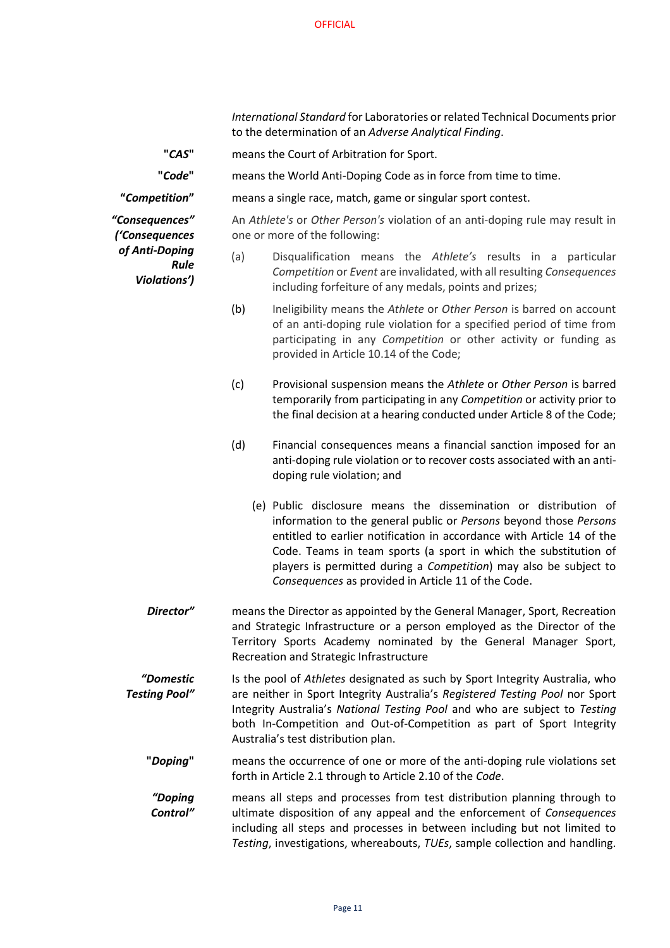*International Standard* for Laboratories or related Technical Documents prior to the determination of an *Adverse Analytical Finding*.

**"***CAS***"** means the Court of Arbitration for Sport.

**"***Code***"** means the World Anti-Doping Code as in force from time to time.

**"***Competition***"** means a single race, match, game or singular sport contest.

*"Consequences" ('Consequences of Anti-Doping Rule Violations')*

An *Athlete's* or *Other Person's* violation of an anti-doping rule may result in one or more of the following:

- (a) Disqualification means the *Athlete's* results in a particular *Competition* or *Event* are invalidated, with all resulting *Consequences*  including forfeiture of any medals, points and prizes;
- (b) Ineligibility means the *Athlete* or *Other Person* is barred on account of an anti-doping rule violation for a specified period of time from participating in any *Competition* or other activity or funding as provided in Article 10.14 of the Code;
- (c) Provisional suspension means the *Athlete* or *Other Person* is barred temporarily from participating in any *Competition* or activity prior to the final decision at a hearing conducted under Article 8 of the Code;
- (d) Financial consequences means a financial sanction imposed for an anti-doping rule violation or to recover costs associated with an antidoping rule violation; and
	- (e) Public disclosure means the dissemination or distribution of information to the general public or *Persons* beyond those *Persons*  entitled to earlier notification in accordance with Article 14 of the Code. Teams in team sports (a sport in which the substitution of players is permitted during a *Competition*) may also be subject to *Consequences* as provided in Article 11 of the Code.
- **Director"** means the Director as appointed by the General Manager, Sport, Recreation and Strategic Infrastructure or a person employed as the Director of the Territory Sports Academy nominated by the General Manager Sport, Recreation and Strategic Infrastructure
- *"Domestic Testing Pool"* Is the pool of *Athletes* designated as such by Sport Integrity Australia, who are neither in Sport Integrity Australia's *Registered Testing Pool* nor Sport Integrity Australia's *National Testing Pool* and who are subject to *Testing*  both In-Competition and Out-of-Competition as part of Sport Integrity Australia's test distribution plan.
	- **"***Doping***"** means the occurrence of one or more of the anti-doping rule violations set forth in Article 2.1 through to Article 2.10 of the *Code*.
	- *"Doping Control"*  means all steps and processes from test distribution planning through to ultimate disposition of any appeal and the enforcement of *Consequences* including all steps and processes in between including but not limited to *Testing*, investigations, whereabouts, *TUEs*, sample collection and handling.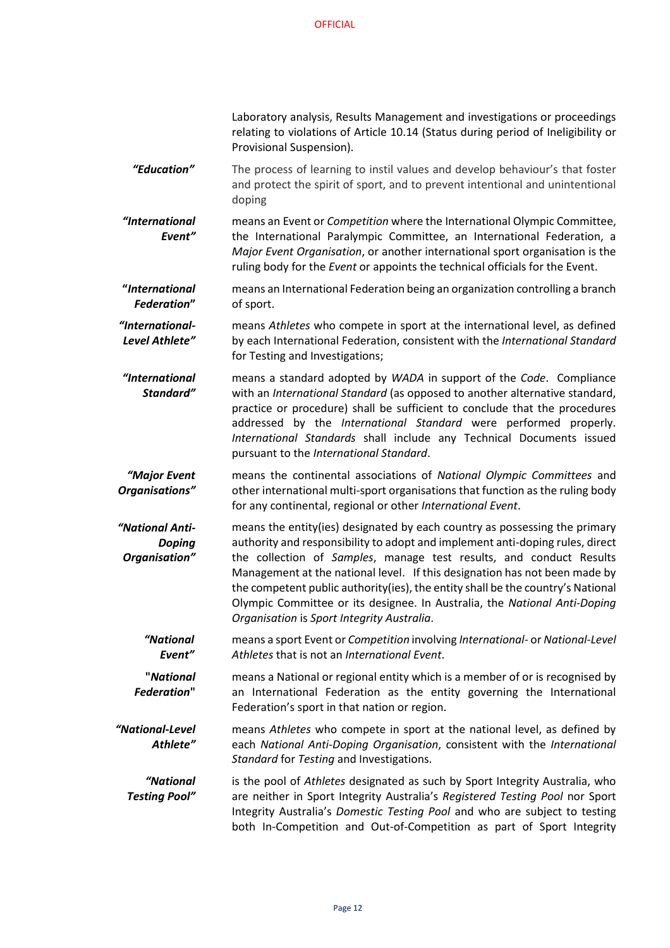Laboratory analysis, Results Management and investigations or proceedings relating to violations of Article 10.14 (Status during period of Ineligibility or Provisional Suspension).

*"Education"* The process of learning to instil values and develop behaviour's that foster and protect the spirit of sport, and to prevent intentional and unintentional doping

*"International Event"*  means an Event or *Competition* where the International Olympic Committee, the International Paralympic Committee, an International Federation, a *Major Event Organisation*, or another international sport organisation is the ruling body for the *Event* or appoints the technical officials for the Event.

**"***International Federation***"** means an International Federation being an organization controlling a branch of sport.

*"International-Level Athlete"*  means *Athletes* who compete in sport at the international level, as defined by each International Federation, consistent with the *International Standard* for Testing and Investigations;

*"International Standard"*  means a standard adopted by *WADA* in support of the *Code*. Compliance with an *International Standard* (as opposed to another alternative standard, practice or procedure) shall be sufficient to conclude that the procedures addressed by the *International Standard* were performed properly. *International Standards* shall include any Technical Documents issued pursuant to the *International Standard*.

*"Major Event Organisations"*  means the continental associations of *National Olympic Committees* and other international multi-sport organisations that function as the ruling body for any continental, regional or other *International Event*.

*"National Anti-Doping Organisation"* means the entity(ies) designated by each country as possessing the primary authority and responsibility to adopt and implement anti-doping rules, direct the collection of *Samples*, manage test results, and conduct Results Management at the national level. If this designation has not been made by the competent public authority(ies), the entity shall be the country's National Olympic Committee or its designee. In Australia, the *National Anti-Doping Organisation* is *Sport Integrity Australia*.

*"National Event"* means a sport Event or *Competition* involving *International*- or *National-Level Athletes* that is not an *International Event*.

**"***National Federation***"** means a National or regional entity which is a member of or is recognised by an International Federation as the entity governing the International Federation's sport in that nation or region.

*"National-Level Athlete"* means *Athletes* who compete in sport at the national level, as defined by each *National Anti-Doping Organisation*, consistent with the *International Standard* for *Testing* and Investigations.

*"National Testing Pool"* is the pool of *Athletes* designated as such by Sport Integrity Australia, who are neither in Sport Integrity Australia's *Registered Testing Pool* nor Sport Integrity Australia's *Domestic Testing Pool* and who are subject to testing both In-Competition and Out-of-Competition as part of Sport Integrity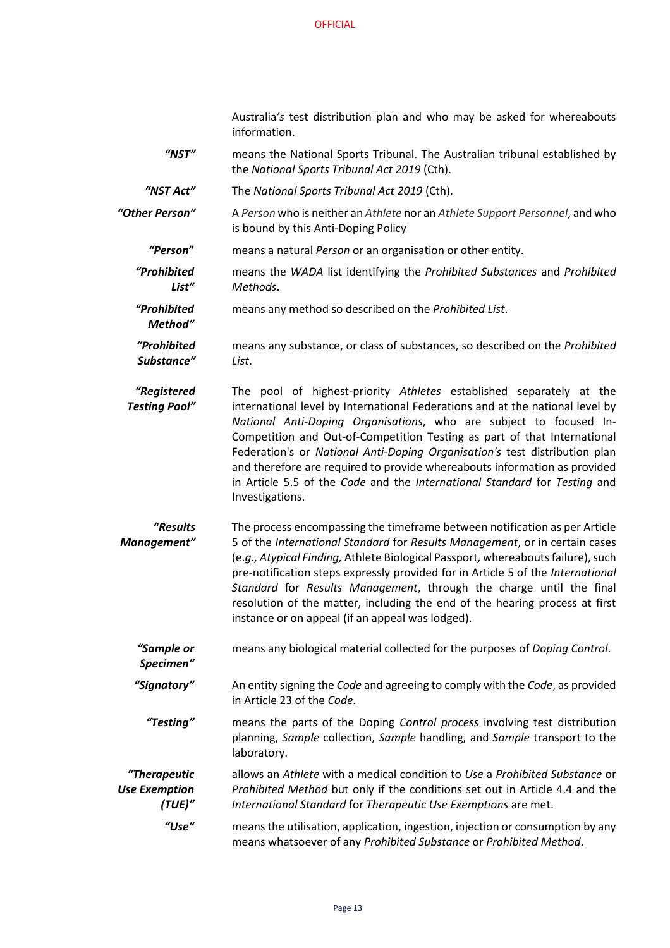Australia*'s* test distribution plan and who may be asked for whereabouts information.

*"NST"* means the National Sports Tribunal. The Australian tribunal established by the *National Sports Tribunal Act 2019* (Cth).

*"NST Act"* The *National Sports Tribunal Act 2019* (Cth).

*Method"*

*"Other Person"* A *Person* who is neither an *Athlete* nor an *Athlete Support Personnel*, and who is bound by this Anti-Doping Policy

- *"Person***"** means a natural *Person* or an organisation or other entity.
- *"Prohibited List"* means the *WADA* list identifying the *Prohibited Substances* and *Prohibited Methods*.
- *"Prohibited*  means any method so described on the *Prohibited List*.

*"Prohibited Substance"* means any substance, or class of substances, so described on the *Prohibited List*.

*"Registered Testing Pool"* The pool of highest-priority *Athletes* established separately at the international level by International Federations and at the national level by *National Anti-Doping Organisations*, who are subject to focused In-Competition and Out-of-Competition Testing as part of that International Federation's or *National Anti-Doping Organisation's* test distribution plan and therefore are required to provide whereabouts information as provided in Article 5.5 of the *Code* and the *International Standard* for *Testing* and Investigations.

*"Results Management"* The process encompassing the timeframe between notification as per Article 5 of the *International Standard* for *Results Management*, or in certain cases (e.*g., Atypical Finding,* Athlete Biological Passport*,* whereaboutsfailure), such pre-notification steps expressly provided for in Article 5 of the *International Standard* for *Results Management*, through the charge until the final resolution of the matter, including the end of the hearing process at first instance or on appeal (if an appeal was lodged).

*"Sample or Specimen"* means any biological material collected for the purposes of *Doping Control*.

*"Signatory"* An entity signing the *Code* and agreeing to comply with the *Code*, as provided in Article 23 of the *Code*.

*"Testing"* means the parts of the Doping *Control process* involving test distribution planning, *Sample* collection, *Sample* handling, and *Sample* transport to the laboratory.

*"Therapeutic Use Exemption (TUE)"* allows an *Athlete* with a medical condition to *Use* a *Prohibited Substance* or *Prohibited Method* but only if the conditions set out in Article 4.4 and the *International Standard* for *Therapeutic Use Exemptions* are met.

*"Use"* means the utilisation, application, ingestion, injection or consumption by any means whatsoever of any *Prohibited Substance* or *Prohibited Method*.